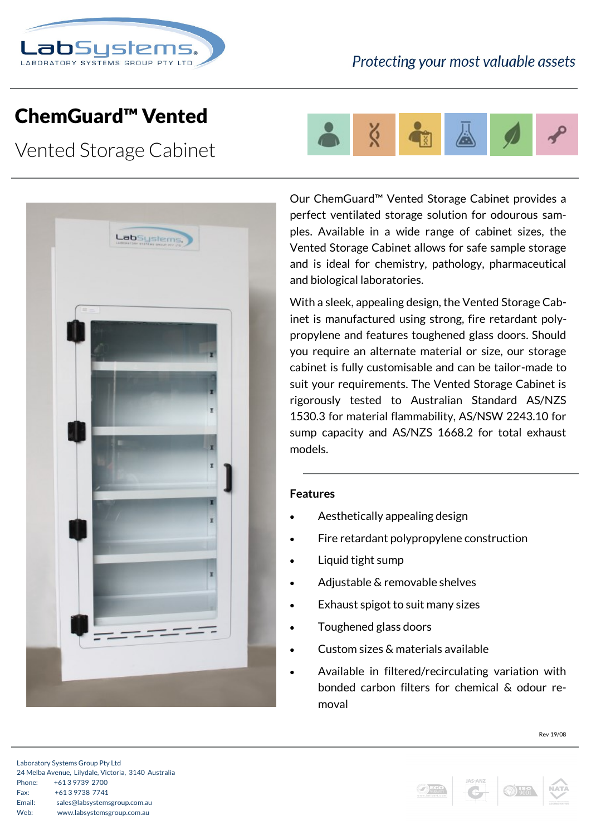

## ChemGuard™ Vented

Vented Storage Cabinet



Ő

Our ChemGuard™ Vented Storage Cabinet provides a perfect ventilated storage solution for odourous samples. Available in a wide range of cabinet sizes, the Vented Storage Cabinet allows for safe sample storage and is ideal for chemistry, pathology, pharmaceutical and biological laboratories.

With a sleek, appealing design, the Vented Storage Cabinet is manufactured using strong, fire retardant polypropylene and features toughened glass doors. Should you require an alternate material or size, our storage cabinet is fully customisable and can be tailor-made to suit your requirements. The Vented Storage Cabinet is rigorously tested to Australian Standard AS/NZS 1530.3 for material flammability, AS/NSW 2243.10 for sump capacity and AS/NZS 1668.2 for total exhaust models.

## **Features**

- Aesthetically appealing design
- Fire retardant polypropylene construction
- Liquid tight sump
- Adjustable & removable shelves
- Exhaust spigot to suit many sizes
- Toughened glass doors
- Custom sizes & materials available
- Available in filtered/recirculating variation with bonded carbon filters for chemical & odour removal





Rev 19/08